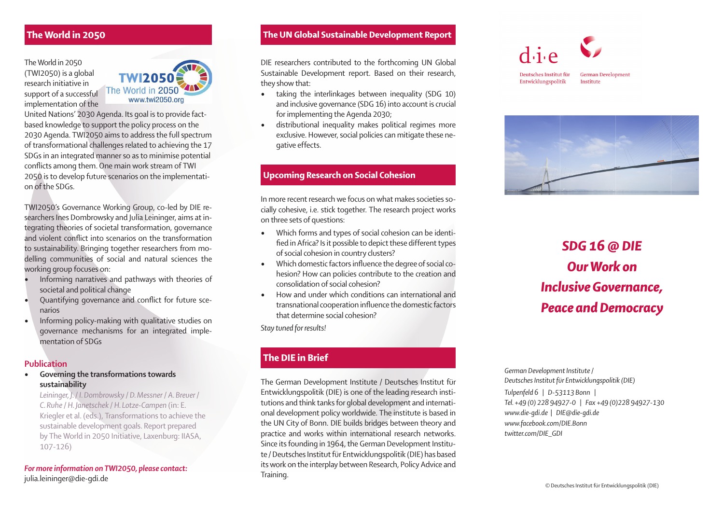The World in 2050 (TWI2050) is a global research initiative in support of a successful implementation of the



United Nations' 2030 Agenda. Its goal is to provide factbased knowledge to support the policy process on the 2030 Agenda. TWI2050 aims to address the full spectrum of transformational challenges related to achieving the 17 SDGs in an integrated manner so as to minimise potential conflicts among them. One main work stream of TWI 2050 is to develop future scenarios on the implementation of the SDGs.

TWI2050's Governance Working Group, co-led by DIE researchers Ines Dombrowsky and Julia Leininger, aims at integrating theories of societal transformation, governance and violent conflict into scenarios on the transformation to sustainability. Bringing together researchers from modelling communities of social and natural sciences the working group focuses on:

- Informing narratives and pathways with theories of societal and political change
- Ouantifying governance and conflict for future scenarios
- Informing policy-making with qualitative studies on governance mechanisms for an integrated implementation of SDGs

#### Publication

• Governing the transformations towards sustainability

*Leininger, J. / I. Dombrowsky / D. Messner / A. Breuer / C. Ruhe / H. Janetschek / H. Lotze-Campen* (in: E. Kriegler et al. (eds.), Transformations to achieve the sustainable development goals. Report prepared by The World in 2050 Initiative, Laxenburg: IIASA, 107-126)

### *For more information on TWI2050, please contact:*  julia.leininger@die-gdi.de

# The World in 2050 The UN Global Sustainable Development Report

DIE researchers contributed to the forthcoming UN Global Sustainable Development report. Based on their research, they show that:

- taking the interlinkages between inequality (SDG 10) and inclusive governance (SDG 16) into account is crucial for implementing the Agenda 2030;
- distributional inequality makes political regimes more exclusive. However, social policies can mitigate these negative effects.

# Upcoming Research on Social Cohesion

In more recent research we focus on what makes societies socially cohesive, i.e. stick together. The research project works on three sets of questions:

- Which forms and types of social cohesion can be identified in Africa? Is it possible to depict these different types of social cohesion in country clusters?
- $\bullet$  Which domestic factors influence the degree of social cohesion? How can policies contribute to the creation and consolidation of social cohesion?
- How and under which conditions can international and transnational cooperation influence the domestic factors that determine social cohesion?

*Stay tuned for results!*

# The DIE in Brief

The German Development Institute / Deutsches Institut für Entwicklungspolitik (DIE) is one of the leading research institutions and think tanks for global development and international development policy worldwide. The institute is based in the UN City of Bonn. DIE builds bridges between theory and practice and works within international research networks. Since its founding in 1964, the German Development Institute / Deutsches Institut für Entwicklungspolitik (DIE) has based its work on the interplay between Research, Policy Advice and Training.





# *SDG 16 @ DIE Our Work on Inclusive Governance, Peace and Democracy*

*German Development Institute / Deutsches Institut für Entwicklungspolitik (DIE) Tulpenfeld 6 | D-53113 Bonn | Tel. +49 (0) 228 94927-0 | Fax +49 (0)228 94927-130 www.die-gdi.de | DIE@die-gdi.de www.facebook.com/DIE.Bonn twitter.com/DIE\_GDI*